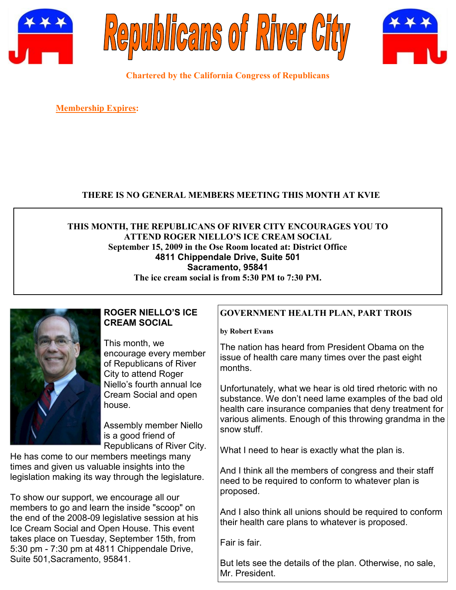





**Chartered by the California Congress of Republicans**

**Membership Expires:** 

#### **THERE IS NO GENERAL MEMBERS MEETING THIS MONTH AT KVIE**

**THIS MONTH, THE REPUBLICANS OF RIVER CITY ENCOURAGES YOU TO ATTEND ROGER NIELLO'S ICE CREAM SOCIAL September 15, 2009 in the Ose Room located at: District Office 4811 Chippendale Drive, Suite 501 Sacramento, 95841 The ice cream social is from 5:30 PM to 7:30 PM.**

#### **ROGER NIELLO'S ICE CREAM SOCIAL**

This month, we encourage every member of Republicans of River City to attend Roger Niello's fourth annual Ice Cream Social and open house.

Assembly member Niello is a good friend of Republicans of River City.

He has come to our members meetings many times and given us valuable insights into the legislation making its way through the legislature.

To show our support, we encourage all our members to go and learn the inside "scoop" on the end of the 2008-09 legislative session at his Ice Cream Social and Open House. This event takes place on Tuesday, September 15th, from 5:30 pm - 7:30 pm at 4811 Chippendale Drive, Suite 501,Sacramento, 95841.

## **GOVERNMENT HEALTH PLAN, PART TROIS**

**by Robert Evans**

The nation has heard from President Obama on the issue of health care many times over the past eight months.

Unfortunately, what we hear is old tired rhetoric with no substance. We don't need lame examples of the bad old health care insurance companies that deny treatment for various aliments. Enough of this throwing grandma in the snow stuff.

What I need to hear is exactly what the plan is.

And I think all the members of congress and their staff need to be required to conform to whatever plan is proposed.

And I also think all unions should be required to conform their health care plans to whatever is proposed.

Fair is fair.

But lets see the details of the plan. Otherwise, no sale, Mr. President.